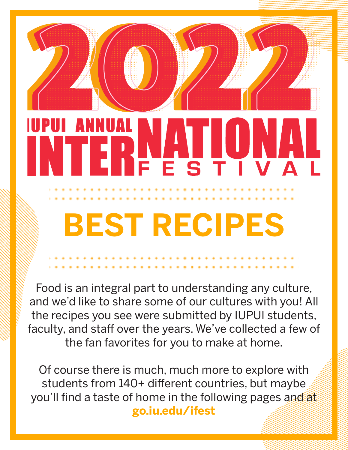# ANI **ON** FESTIVAL **BEST RECIPES**

Food is an integral part to understanding any culture, and we'd like to share some of our cultures with you! All the recipes you see were submitted by IUPUI students, faculty, and staff over the years. We've collected a few of the fan favorites for you to make at home.

Of course there is much, much more to explore with students from 140+ different countries, but maybe you'll find a taste of home in the following pages and at **go.iu.edu/ifest**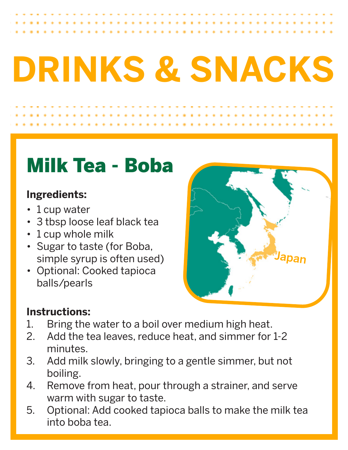# **DRINKS & SNACKS**

# Milk Tea - Boba

### **Ingredients:**

- 1 cup water
- 3 tbsp loose leaf black tea
- 1 cup whole milk
- Sugar to taste (for Boba, simple syrup is often used)
- Optional: Cooked tapioca balls/pearls



- 1. Bring the water to a boil over medium high heat.<br>2. Add the tea leaves, reduce heat, and simmer for
- Add the tea leaves, reduce heat, and simmer for 1-2 minutes.
- 3. Add milk slowly, bringing to a gentle simmer, but not boiling.
- 4. Remove from heat, pour through a strainer, and serve warm with sugar to taste.
- 5. Optional: Add cooked tapioca balls to make the milk tea into boba tea.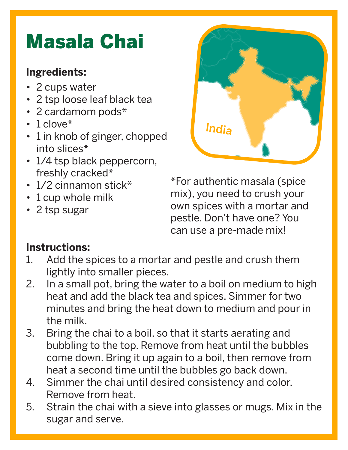# Masala Chai

### **Ingredients:**

- 2 cups water
- 2 tsp loose leaf black tea
- 2 cardamom pods\*
- $\cdot$  1 clove\*
- 1 in knob of ginger, chopped into slices\*
- 1/4 tsp black peppercorn, freshly cracked\*
- 1/2 cinnamon stick\*
- 1 cup whole milk
- 2 tsp sugar



\*For authentic masala (spice mix), you need to crush your own spices with a mortar and pestle. Don't have one? You can use a pre-made mix!

- 1. Add the spices to a mortar and pestle and crush them lightly into smaller pieces.
- 2. In a small pot, bring the water to a boil on medium to high heat and add the black tea and spices. Simmer for two minutes and bring the heat down to medium and pour in the milk.
- 3. Bring the chai to a boil, so that it starts aerating and bubbling to the top. Remove from heat until the bubbles come down. Bring it up again to a boil, then remove from heat a second time until the bubbles go back down.
- 4. Simmer the chai until desired consistency and color. Remove from heat.
- 5. Strain the chai with a sieve into glasses or mugs. Mix in the sugar and serve.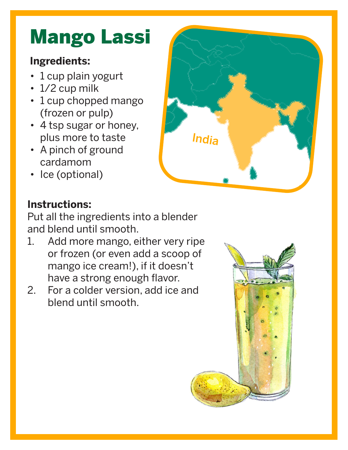# Mango Lassi

## **Ingredients:**

- 1 cup plain yogurt
- 1/2 cup milk
- 1 cup chopped mango (frozen or pulp)
- 4 tsp sugar or honey, plus more to taste
- A pinch of ground cardamom
- Ice (optional)



## **Instructions:**

Put all the ingredients into a blender and blend until smooth.

- 1. Add more mango, either very ripe or frozen (or even add a scoop of mango ice cream!), if it doesn't have a strong enough flavor.
- 2. For a colder version, add ice and blend until smooth.

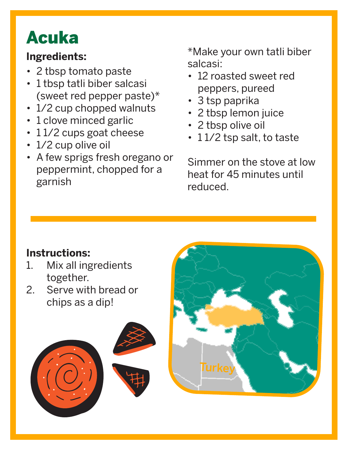# Acuka

### **Ingredients:**

- 2 tbsp tomato paste
- 1 tbsp tatli biber salcasi (sweet red pepper paste)\*
- 1/2 cup chopped walnuts
- 1 clove minced garlic
- 11/2 cups goat cheese
- 1/2 cup olive oil
- A few sprigs fresh oregano or peppermint, chopped for a garnish

\*Make your own tatli biber salcasi:

- 12 roasted sweet red peppers, pureed
- 3 tsp paprika
- 2 tbsp lemon juice
- 2 tbsp olive oil
- 11/2 tsp salt, to taste

Simmer on the stove at low heat for 45 minutes until reduced.

- 1. Mix all ingredients together.
- 2. Serve with bread or chips as a dip!



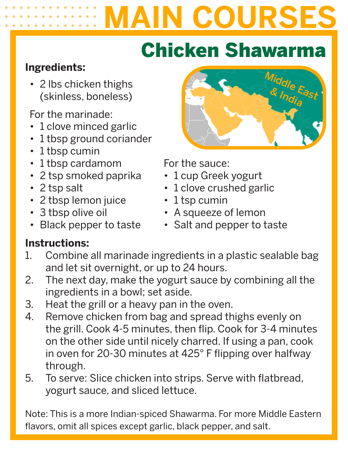# **MAIN COURSES**

# Chicken Shawarma

### **Ingredients:**

• 2 lbs chicken thighs (skinless, boneless)

For the marinade:

- 1 clove minced garlic
- 1 tbsp ground coriander
- 1 tbsp cumin
- 1 tbsp cardamom
- 2 tsp smoked paprika
- 2 tsp salt
- 2 tbsp lemon juice
- 3 tbsp olive oil
- Black pepper to taste

# Middle East<br>& India

For the sauce:

- 1 cup Greek yogurt
- 1 clove crushed garlic
- 1 tsp cumin
- A squeeze of lemon
- Salt and pepper to taste

### **Instructions:**

- 1. Combine all marinade ingredients in a plastic sealable bag and let sit overnight, or up to 24 hours.
- 2. The next day, make the yogurt sauce by combining all the ingredients in a bowl; set aside.
- 3. Heat the grill or a heavy pan in the oven.
- 4. Remove chicken from bag and spread thighs evenly on the grill. Cook 4-5 minutes, then flip. Cook for 3-4 minutes on the other side until nicely charred. If using a pan, cook in oven for 20-30 minutes at 425° F flipping over halfway through.
- 5. To serve: Slice chicken into strips. Serve with flatbread, yogurt sauce, and sliced lettuce.

Note: This is a more Indian-spiced Shawarma. For more Middle Eastern flavors, omit all spices except garlic, black pepper, and salt.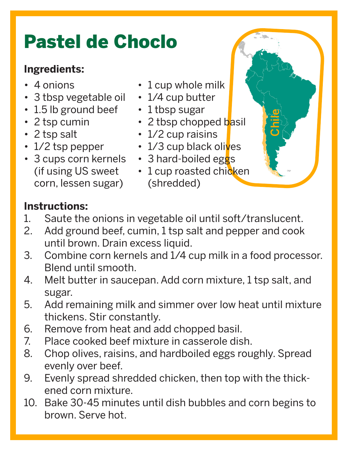# Pastel de Choclo

### **Ingredients:**

- 4 onions
- 3 tbsp vegetable oil
- 1.5 lb ground beef
- 2 tsp cumin
- 2 tsp salt
- 1/2 tsp pepper
- 3 cups corn kernels (if using US sweet corn, lessen sugar)
- 1 cup whole milk
- 1/4 cup butter
- 1 tbsp sugar
- 2 tbsp chopped basil

Chile

- 1/2 cup raisins
- $\cdot$  1/3 cup black olives
- 3 hard-boiled eggs
- 1 cup roasted chicken (shredded)

- 1. Saute the onions in vegetable oil until soft/translucent.
- 2. Add ground beef, cumin, 1 tsp salt and pepper and cook until brown. Drain excess liquid.
- 3. Combine corn kernels and 1/4 cup milk in a food processor. Blend until smooth.
- 4. Melt butter in saucepan. Add corn mixture, 1 tsp salt, and sugar.
- 5. Add remaining milk and simmer over low heat until mixture thickens. Stir constantly.
- 6. Remove from heat and add chopped basil.
- 7. Place cooked beef mixture in casserole dish.
- 8. Chop olives, raisins, and hardboiled eggs roughly. Spread evenly over beef.
- 9. Evenly spread shredded chicken, then top with the thickened corn mixture.
- 10. Bake 30-45 minutes until dish bubbles and corn begins to brown. Serve hot.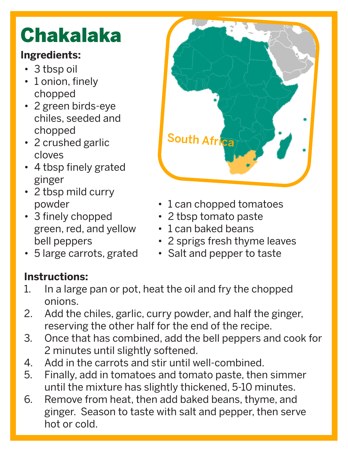# Chakalaka

# **Ingredients:**

- 3 tbsp oil
- 1 onion, finely chopped
- 2 green birds-eye chiles, seeded and chopped
- 2 crushed garlic cloves
- 4 tbsp finely grated ginger
- 2 tbsp mild curry powder
- 3 finely chopped green, red, and yellow bell peppers
- 5 large carrots, grated



- 1 can chopped tomatoes
- 2 tbsp tomato paste
- 1 can baked beans
- 2 sprigs fresh thyme leaves
- Salt and pepper to taste

- 1. In a large pan or pot, heat the oil and fry the chopped onions.
- 2. Add the chiles, garlic, curry powder, and half the ginger, reserving the other half for the end of the recipe.
- 3. Once that has combined, add the bell peppers and cook for 2 minutes until slightly softened.
- 4. Add in the carrots and stir until well-combined.
- 5. Finally, add in tomatoes and tomato paste, then simmer until the mixture has slightly thickened, 5-10 minutes.
- 6. Remove from heat, then add baked beans, thyme, and ginger. Season to taste with salt and pepper, then serve hot or cold.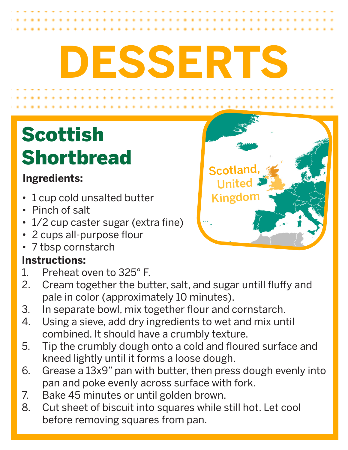# **DESSERTS**

# Scottish Shortbread

# **Ingredients:**

- 1 cup cold unsalted butter
- Pinch of salt
- 1/2 cup caster sugar (extra fine)
- 2 cups all-purpose flour
- 7 tbsp cornstarch

- 1. Preheat oven to 325° F.
- 2. Cream together the butter, salt, and sugar untill fluffy and pale in color (approximately 10 minutes).
- 3. In separate bowl, mix together flour and cornstarch.
- 4. Using a sieve, add dry ingredients to wet and mix until combined. It should have a crumbly texture.
- 5. Tip the crumbly dough onto a cold and floured surface and kneed lightly until it forms a loose dough.
- 6. Grease a 13x9" pan with butter, then press dough evenly into pan and poke evenly across surface with fork.
- 7. Bake 45 minutes or until golden brown.<br>8. Cut sheet of biscuit into squares while s
- Cut sheet of biscuit into squares while still hot. Let cool before removing squares from pan.